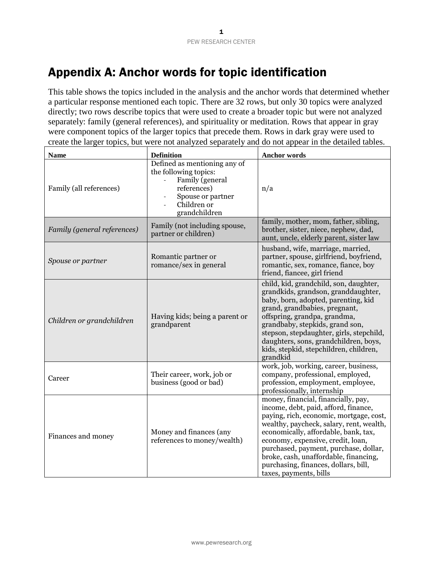# Appendix A: Anchor words for topic identification

This table shows the topics included in the analysis and the anchor words that determined whether a particular response mentioned each topic. There are 32 rows, but only 30 topics were analyzed directly; two rows describe topics that were used to create a broader topic but were not analyzed separately: family (general references), and spirituality or meditation. Rows that appear in gray were component topics of the larger topics that precede them. Rows in dark gray were used to create the larger topics, but were not analyzed separately and do not appear in the detailed tables.

| <b>Name</b>                 | <b>Definition</b>                                                                                                                            | <b>Anchor words</b>                                                                                                                                                                                                                                                                                                                                                                                 |
|-----------------------------|----------------------------------------------------------------------------------------------------------------------------------------------|-----------------------------------------------------------------------------------------------------------------------------------------------------------------------------------------------------------------------------------------------------------------------------------------------------------------------------------------------------------------------------------------------------|
| Family (all references)     | Defined as mentioning any of<br>the following topics:<br>Family (general<br>references)<br>Spouse or partner<br>Children or<br>grandchildren | n/a                                                                                                                                                                                                                                                                                                                                                                                                 |
| Family (general references) | Family (not including spouse,<br>partner or children)                                                                                        | family, mother, mom, father, sibling,<br>brother, sister, niece, nephew, dad,<br>aunt, uncle, elderly parent, sister law                                                                                                                                                                                                                                                                            |
| Spouse or partner           | Romantic partner or<br>romance/sex in general                                                                                                | husband, wife, marriage, married,<br>partner, spouse, girlfriend, boyfriend,<br>romantic, sex, romance, fiance, boy<br>friend, fiancee, girl friend                                                                                                                                                                                                                                                 |
| Children or grandchildren   | Having kids; being a parent or<br>grandparent                                                                                                | child, kid, grandchild, son, daughter,<br>grandkids, grandson, granddaughter,<br>baby, born, adopted, parenting, kid<br>grand, grandbabies, pregnant,<br>offspring, grandpa, grandma,<br>grandbaby, stepkids, grand son,<br>stepson, stepdaughter, girls, stepchild,<br>daughters, sons, grandchildren, boys,<br>kids, stepkid, stepchildren, children,<br>grandkid                                 |
| Career                      | Their career, work, job or<br>business (good or bad)                                                                                         | work, job, working, career, business,<br>company, professional, employed,<br>profession, employment, employee,<br>professionally, internship                                                                                                                                                                                                                                                        |
| Finances and money          | Money and finances (any<br>references to money/wealth)                                                                                       | money, financial, financially, pay,<br>income, debt, paid, afford, finance,<br>paying, rich, economic, mortgage, cost,<br>wealthy, paycheck, salary, rent, wealth,<br>economically, affordable, bank, tax,<br>economy, expensive, credit, loan,<br>purchased, payment, purchase, dollar,<br>broke, cash, unaffordable, financing,<br>purchasing, finances, dollars, bill,<br>taxes, payments, bills |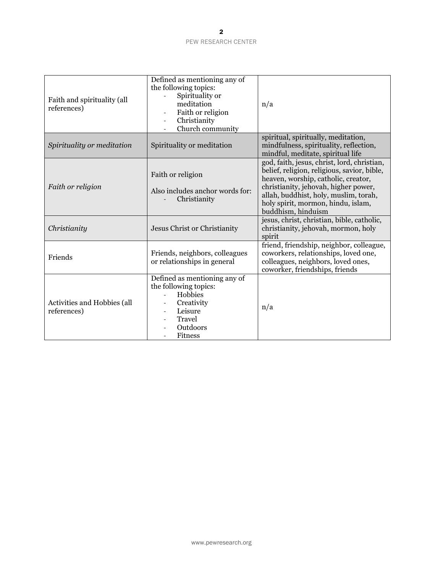| Faith and spirituality (all<br>references) | Defined as mentioning any of<br>the following topics:<br>Spirituality or<br>meditation<br>Faith or religion<br>Christianity<br>Church community | n/a                                                                                                                                                                                                                                                                            |
|--------------------------------------------|-------------------------------------------------------------------------------------------------------------------------------------------------|--------------------------------------------------------------------------------------------------------------------------------------------------------------------------------------------------------------------------------------------------------------------------------|
| Spirituality or meditation                 | Spirituality or meditation                                                                                                                      | spiritual, spiritually, meditation,<br>mindfulness, spirituality, reflection,<br>mindful, meditate, spiritual life                                                                                                                                                             |
| Faith or religion                          | Faith or religion<br>Also includes anchor words for:<br>Christianity                                                                            | god, faith, jesus, christ, lord, christian,<br>belief, religion, religious, savior, bible,<br>heaven, worship, catholic, creator,<br>christianity, jehovah, higher power,<br>allah, buddhist, holy, muslim, torah,<br>holy spirit, mormon, hindu, islam,<br>buddhism, hinduism |
| Christianity                               | Jesus Christ or Christianity                                                                                                                    | jesus, christ, christian, bible, catholic,<br>christianity, jehovah, mormon, holy<br>spirit                                                                                                                                                                                    |
| Friends                                    | Friends, neighbors, colleagues<br>or relationships in general                                                                                   | friend, friendship, neighbor, colleague,<br>coworkers, relationships, loved one,<br>colleagues, neighbors, loved ones,<br>coworker, friendships, friends                                                                                                                       |
| Activities and Hobbies (all<br>references) | Defined as mentioning any of<br>the following topics:<br>Hobbies<br>Creativity<br>Leisure<br><b>Travel</b><br>Outdoors<br><b>Fitness</b>        | n/a                                                                                                                                                                                                                                                                            |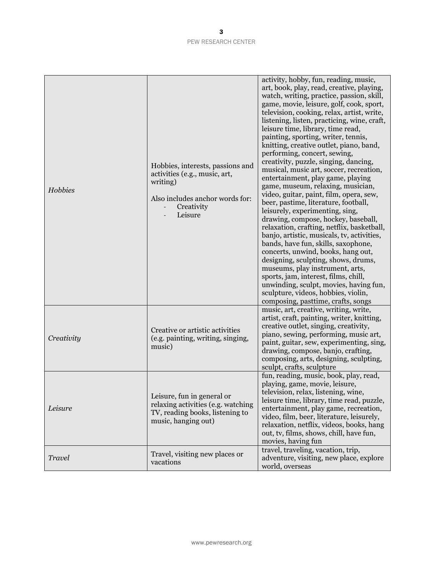| Hobbies       | Hobbies, interests, passions and<br>activities (e.g., music, art,<br>writing)<br>Also includes anchor words for:<br>Creativity<br>Leisure | activity, hobby, fun, reading, music,<br>art, book, play, read, creative, playing,<br>watch, writing, practice, passion, skill,<br>game, movie, leisure, golf, cook, sport,<br>television, cooking, relax, artist, write,<br>listening, listen, practicing, wine, craft,<br>leisure time, library, time read,<br>painting, sporting, writer, tennis,<br>knitting, creative outlet, piano, band,<br>performing, concert, sewing,<br>creativity, puzzle, singing, dancing,<br>musical, music art, soccer, recreation,<br>entertainment, play game, playing<br>game, museum, relaxing, musician,<br>video, guitar, paint, film, opera, sew,<br>beer, pastime, literature, football,<br>leisurely, experimenting, sing,<br>drawing, compose, hockey, baseball,<br>relaxation, crafting, netflix, basketball,<br>banjo, artistic, musicals, tv, activities,<br>bands, have fun, skills, saxophone,<br>concerts, unwind, books, hang out,<br>designing, sculpting, shows, drums,<br>museums, play instrument, arts,<br>sports, jam, interest, films, chill,<br>unwinding, sculpt, movies, having fun,<br>sculpture, videos, hobbies, violin,<br>composing, pasttime, crafts, songs |
|---------------|-------------------------------------------------------------------------------------------------------------------------------------------|------------------------------------------------------------------------------------------------------------------------------------------------------------------------------------------------------------------------------------------------------------------------------------------------------------------------------------------------------------------------------------------------------------------------------------------------------------------------------------------------------------------------------------------------------------------------------------------------------------------------------------------------------------------------------------------------------------------------------------------------------------------------------------------------------------------------------------------------------------------------------------------------------------------------------------------------------------------------------------------------------------------------------------------------------------------------------------------------------------------------------------------------------------------------------|
| Creativity    | Creative or artistic activities<br>(e.g. painting, writing, singing,<br>music)                                                            | music, art, creative, writing, write,<br>artist, craft, painting, writer, knitting,<br>creative outlet, singing, creativity,<br>piano, sewing, performing, music art,<br>paint, guitar, sew, experimenting, sing,<br>drawing, compose, banjo, crafting,<br>composing, arts, designing, sculpting,<br>sculpt, crafts, sculpture                                                                                                                                                                                                                                                                                                                                                                                                                                                                                                                                                                                                                                                                                                                                                                                                                                               |
| Leisure       | Leisure, fun in general or<br>relaxing activities (e.g. watching<br>TV, reading books, listening to<br>music, hanging out)                | fun, reading, music, book, play, read,<br>playing, game, movie, leisure,<br>television, relax, listening, wine,<br>leisure time, library, time read, puzzle,<br>entertainment, play game, recreation,<br>video, film, beer, literature, leisurely,<br>relaxation, netflix, videos, books, hang<br>out, tv, films, shows, chill, have fun,<br>movies, having fun                                                                                                                                                                                                                                                                                                                                                                                                                                                                                                                                                                                                                                                                                                                                                                                                              |
| <b>Travel</b> | Travel, visiting new places or<br>vacations                                                                                               | travel, traveling, vacation, trip,<br>adventure, visiting, new place, explore<br>world, overseas                                                                                                                                                                                                                                                                                                                                                                                                                                                                                                                                                                                                                                                                                                                                                                                                                                                                                                                                                                                                                                                                             |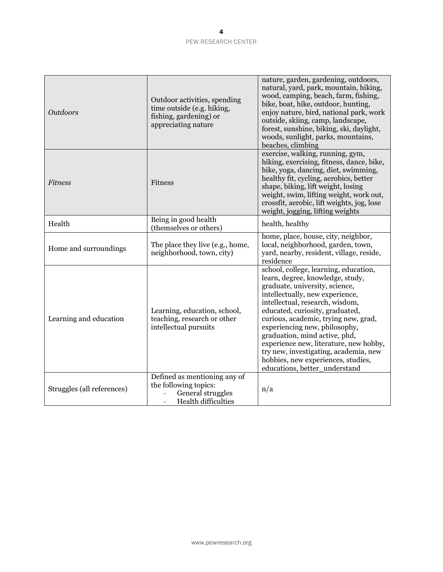| <b>Outdoors</b>            | Outdoor activities, spending<br>time outside (e.g. hiking,<br>fishing, gardening) or<br>appreciating nature                | nature, garden, gardening, outdoors,<br>natural, yard, park, mountain, hiking,<br>wood, camping, beach, farm, fishing,<br>bike, boat, hike, outdoor, hunting,<br>enjoy nature, bird, national park, work<br>outside, skiing, camp, landscape,<br>forest, sunshine, biking, ski, daylight,<br>woods, sunlight, parks, mountains,<br>beaches, climbing                                                                                                                                     |
|----------------------------|----------------------------------------------------------------------------------------------------------------------------|------------------------------------------------------------------------------------------------------------------------------------------------------------------------------------------------------------------------------------------------------------------------------------------------------------------------------------------------------------------------------------------------------------------------------------------------------------------------------------------|
| <b>Fitness</b>             | <b>Fitness</b>                                                                                                             | exercise, walking, running, gym,<br>hiking, exercising, fitness, dance, bike,<br>hike, yoga, dancing, diet, swimming,<br>healthy fit, cycling, aerobics, better<br>shape, biking, lift weight, losing<br>weight, swim, lifting weight, work out,<br>crossfit, aerobic, lift weights, jog, lose<br>weight, jogging, lifting weights                                                                                                                                                       |
| Health                     | Being in good health<br>(themselves or others)                                                                             | health, healthy                                                                                                                                                                                                                                                                                                                                                                                                                                                                          |
| Home and surroundings      | The place they live (e.g., home,<br>neighborhood, town, city)                                                              | home, place, house, city, neighbor,<br>local, neighborhood, garden, town,<br>yard, nearby, resident, village, reside,<br>residence                                                                                                                                                                                                                                                                                                                                                       |
| Learning and education     | Learning, education, school,<br>teaching, research or other<br>intellectual pursuits                                       | school, college, learning, education,<br>learn, degree, knowledge, study,<br>graduate, university, science,<br>intellectually, new experience,<br>intellectual, research, wisdom,<br>educated, curiosity, graduated,<br>curious, academic, trying new, grad,<br>experiencing new, philosophy,<br>graduation, mind active, phd,<br>experience new, literature, new hobby,<br>try new, investigating, academia, new<br>hobbies, new experiences, studies,<br>educations, better_understand |
| Struggles (all references) | Defined as mentioning any of<br>the following topics:<br>General struggles<br><b>Health difficulties</b><br>$\overline{a}$ | n/a                                                                                                                                                                                                                                                                                                                                                                                                                                                                                      |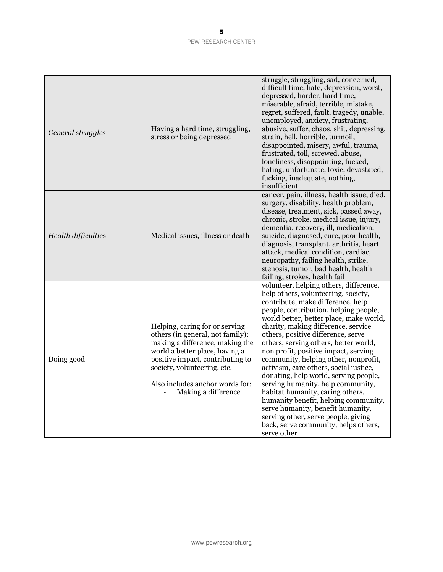| General struggles   | Having a hard time, struggling,<br>stress or being depressed                                                                                                                                                                                                         | struggle, struggling, sad, concerned,<br>difficult time, hate, depression, worst,<br>depressed, harder, hard time,<br>miserable, afraid, terrible, mistake,<br>regret, suffered, fault, tragedy, unable,<br>unemployed, anxiety, frustrating,<br>abusive, suffer, chaos, shit, depressing,<br>strain, hell, horrible, turmoil,<br>disappointed, misery, awful, trauma,<br>frustrated, toll, screwed, abuse,<br>loneliness, disappointing, fucked,<br>hating, unfortunate, toxic, devastated,<br>fucking, inadequate, nothing,<br>insufficient                                                                                                                                                                                                       |
|---------------------|----------------------------------------------------------------------------------------------------------------------------------------------------------------------------------------------------------------------------------------------------------------------|-----------------------------------------------------------------------------------------------------------------------------------------------------------------------------------------------------------------------------------------------------------------------------------------------------------------------------------------------------------------------------------------------------------------------------------------------------------------------------------------------------------------------------------------------------------------------------------------------------------------------------------------------------------------------------------------------------------------------------------------------------|
| Health difficulties | Medical issues, illness or death                                                                                                                                                                                                                                     | cancer, pain, illness, health issue, died,<br>surgery, disability, health problem,<br>disease, treatment, sick, passed away,<br>chronic, stroke, medical issue, injury,<br>dementia, recovery, ill, medication,<br>suicide, diagnosed, cure, poor health,<br>diagnosis, transplant, arthritis, heart<br>attack, medical condition, cardiac,<br>neuropathy, failing health, strike,<br>stenosis, tumor, bad health, health<br>failing, strokes, health fail                                                                                                                                                                                                                                                                                          |
| Doing good          | Helping, caring for or serving<br>others (in general, not family);<br>making a difference, making the<br>world a better place, having a<br>positive impact, contributing to<br>society, volunteering, etc.<br>Also includes anchor words for:<br>Making a difference | volunteer, helping others, difference,<br>help others, volunteering, society,<br>contribute, make difference, help<br>people, contribution, helping people,<br>world better, better place, make world,<br>charity, making difference, service<br>others, positive difference, serve<br>others, serving others, better world,<br>non profit, positive impact, serving<br>community, helping other, nonprofit,<br>activism, care others, social justice,<br>donating, help world, serving people,<br>serving humanity, help community,<br>habitat humanity, caring others,<br>humanity benefit, helping community,<br>serve humanity, benefit humanity,<br>serving other, serve people, giving<br>back, serve community, helps others,<br>serve other |